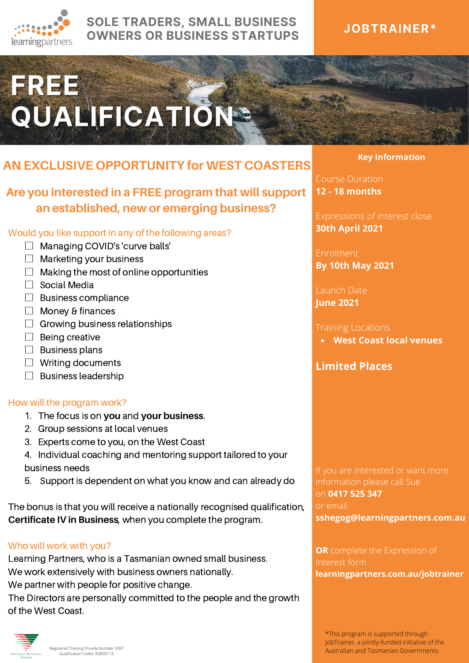

# **SOLE TRADERS, SMALL BUSINESS OWNERS OR BUSINESS STARTUPS**

# **JOBTRAINER\***

# FREE<br>QUALIFICATION®

# **AN EXCLUSIVE OPPORTUNITY for WEST COASTERS**

# **Are you interested in a FREE program that will support an established, new or emerging business?**

### Would you like support in any of the following areas?

- □ Managing COVID's 'curve balls'
- $\Box$  Marketing your business
- $\Box$  Making the most of online opportunities
- $\Box$  Social Media
- □ Business compliance
- □ Money & finances
- $\Box$  Growing business relationships
- $\Box$  Being creative
- $\square$  Business plans
- $\Box$  Writing documents
- $\Box$  Business leadership

### How will the program work?

- 1. The focus is on **you** and **your business**.
- 2. Group sessions at local venues
- 3. Experts come to you, on the West Coast
- 4. Individual coaching and mentoring support tailored to your business needs
- 5. Support is dependent on what you know and can already do

The bonus is that you will receive a nationally recognised qualification, **Certificate IV in Business**, when you complete the program.

### Who will work with you?

Learning Partners, who is a Tasmanian owned small business. We work extensively with business owners nationally. We partner with people for positive change.

The Directors are personally committed to the people and the growth of the West Coast.



Registered Training Provide Number 3397 Qualification Codes: BSB30115

### **Key Information**

Course Duration **12 - 18 months**

Expressions of interest close **30th April 2021**

Enrolment **By 10th May 2021**

Launch Date **June 2021**

**West Coast local venues**

## **Limited Places**

If you are interested or want more on **0417 525 347** or email **sshegog@learningpartners.com.au**

**OR** complete the Expression of Interest form **learningpartners.com.au/jobtrainer**

\*This program is supported through JobTrainer, a jointly-funded initiative of the Australian and Tasmanian Governments